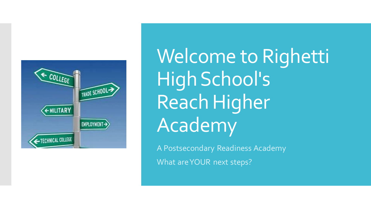

Welcome to Righetti High School's Reach Higher **Academy** 

A Postsecondary Readiness Academy What are YOUR next steps?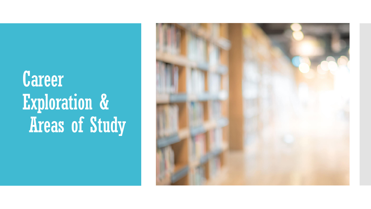# Career Exploration & Areas of Study

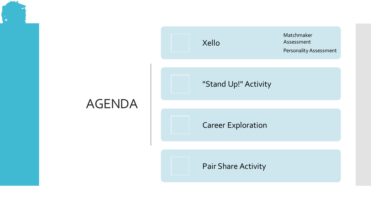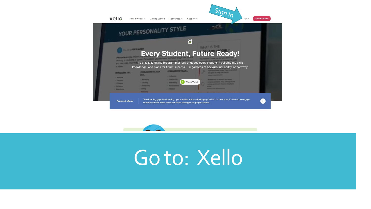



## Goto: Xello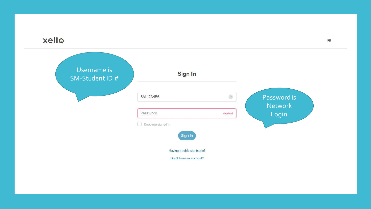

| Username is<br>SM-Student ID # | Sign In                                              |            |                         |
|--------------------------------|------------------------------------------------------|------------|-------------------------|
|                                | SM-123456                                            | $\sqrt{2}$ | Password is             |
|                                | Password<br>Keep me signed in                        | required   | <b>Network</b><br>Login |
|                                | Sign In                                              |            |                         |
|                                | Having trouble signing in?<br>Don't have an account? |            |                         |

 $FR$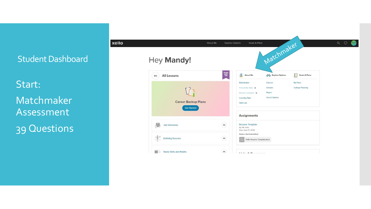Student Dashboard

Start: Matchmaker Assessment 39 Questions

| xello |                                                                          | About Me   | Goals & Plans<br><b>Explore Options</b>                                                                       |                                                      |                                           | $Q \quad Q \quad Q$ |
|-------|--------------------------------------------------------------------------|------------|---------------------------------------------------------------------------------------------------------------|------------------------------------------------------|-------------------------------------------|---------------------|
|       | Hey Mandy!                                                               |            |                                                                                                               | Matchmaker                                           |                                           |                     |
|       | <b>All Lessons</b><br>0%                                                 | Grade $12$ | 且<br><b>About Me</b>                                                                                          | <b>OD</b> Explore Options                            | $\frac{1}{2}$<br><b>Goals &amp; Plans</b> |                     |
|       | $\int$ $\frac{3}{2}$<br><b>Career Backup Plans</b><br><b>Get Started</b> |            | Matchmaker<br>Personality Style <sup>a</sup><br>Mission Complete <sup>a</sup><br>Learning Style<br>Skills Lab | Careers<br>Schools<br>Majors<br><b>Saved Options</b> | My Plans<br><b>College Planning</b>       |                     |
|       |                                                                          |            | <b>Assignments</b>                                                                                            |                                                      |                                           |                     |
|       | <b>Job Interviews</b>                                                    | 0%         | <b>Resume Template</b><br>By: Mr. Solis<br>Due: June 11, 2020<br><b>Status: Not Submitted</b>                 |                                                      |                                           |                     |
|       | the<br><b>Defining Success</b>                                           | 0%         | Xello Resume Template.docx                                                                                    |                                                      |                                           |                     |
|       | <b>Study Skills and Habits</b><br>B                                      | 0%         | <b>Little A Massachusett</b>                                                                                  |                                                      |                                           |                     |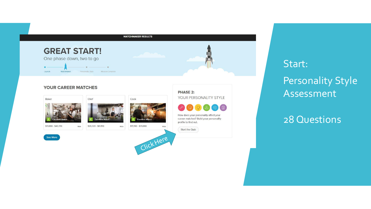

Start: Personality Style Assessment

#### 28 Questions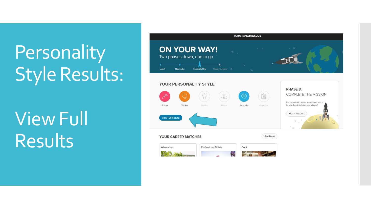# **Personality** Style Results:

View Full Results

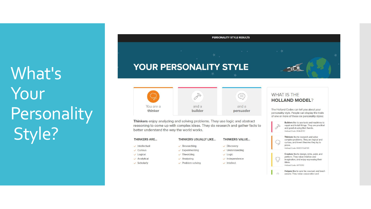What's Your Personality Style?

## PERSONALITY STYLE RESULTS YOUR PERSONALITY STYLE



Thinkers enjoy analyzing and solving problems. They use logic and abstract reasoning to come up with complex ideas. They do research and gather facts to better understand the way the world works.

| <b>THINKERS ARE</b>     | <b>THINKERS USUALLY LIKE</b> | <b>THINKERS VALUE</b> |     |
|-------------------------|------------------------------|-----------------------|-----|
| $\vee$ Intellectual     | Researching                  | <b>Discovery</b>      |     |
| $\vee$ Curious          | Experimenting                | Understanding         |     |
| $\vee$ Logical          | Theorizing                   | $\vee$ Logic          |     |
| $\checkmark$ Analytical | Analyzing                    | Independence          | in, |
| $\checkmark$ Scholarly  | $\vee$ Problem-solving       | Intellect             |     |
|                         |                              |                       |     |

#### **WHAT IS THE HOLLAND MODEL?**

The Holland Codes can tell you about your personality style. People can display the traits of one or more of these six personality styles:

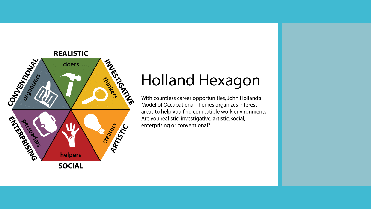

### **Holland Hexagon**

With countless career opportunities, John Holland's Model of Occupational Themes organizes interest areas to help you find compatible work environments. Are you realistic, investigative, artistic, social, enterprising or conventional?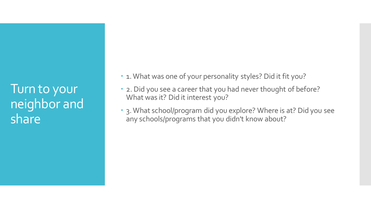Turn to your neighbor and share

. 1. What was one of your personality styles? Did it fit you?

- 2. Did you see a career that you had never thought of before? What was it? Did it interest you?
- 3. What school/program did you explore? Where is at? Did you see any schools/programs that you didn't know about?